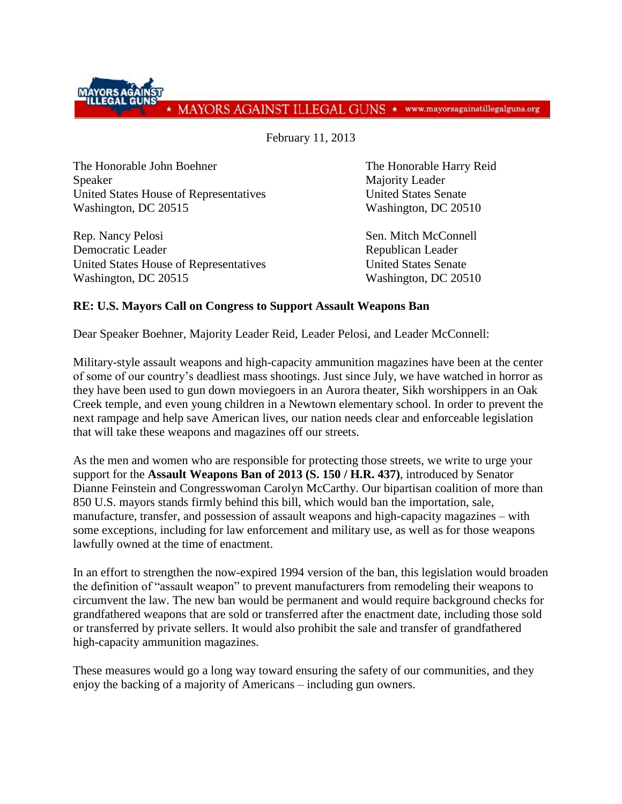MAYORS AGAINST ILLEGAL GUNS \* www.mayorsagainstillegalguns.org

February 11, 2013

The Honorable John Boehner The Honorable Harry Reid Speaker Majority Leader United States House of Representatives United States Senate Washington, DC 20515 Washington, DC 20510

Rep. Nancy Pelosi Sen. Mitch McConnell Democratic Leader **Republican Leader** Republican Leader United States House of Representatives United States Senate Washington, DC 20515 Washington, DC 20510

## **RE: U.S. Mayors Call on Congress to Support Assault Weapons Ban**

Dear Speaker Boehner, Majority Leader Reid, Leader Pelosi, and Leader McConnell:

Military-style assault weapons and high-capacity ammunition magazines have been at the center of some of our country's deadliest mass shootings. Just since July, we have watched in horror as they have been used to gun down moviegoers in an Aurora theater, Sikh worshippers in an Oak Creek temple, and even young children in a Newtown elementary school. In order to prevent the next rampage and help save American lives, our nation needs clear and enforceable legislation that will take these weapons and magazines off our streets.

As the men and women who are responsible for protecting those streets, we write to urge your support for the **Assault Weapons Ban of 2013 (S. 150 / H.R. 437)**, introduced by Senator Dianne Feinstein and Congresswoman Carolyn McCarthy. Our bipartisan coalition of more than 850 U.S. mayors stands firmly behind this bill, which would ban the importation, sale, manufacture, transfer, and possession of assault weapons and high-capacity magazines – with some exceptions, including for law enforcement and military use, as well as for those weapons lawfully owned at the time of enactment.

In an effort to strengthen the now-expired 1994 version of the ban, this legislation would broaden the definition of "assault weapon" to prevent manufacturers from remodeling their weapons to circumvent the law. The new ban would be permanent and would require background checks for grandfathered weapons that are sold or transferred after the enactment date, including those sold or transferred by private sellers. It would also prohibit the sale and transfer of grandfathered high-capacity ammunition magazines.

These measures would go a long way toward ensuring the safety of our communities, and they enjoy the backing of a majority of Americans – including gun owners.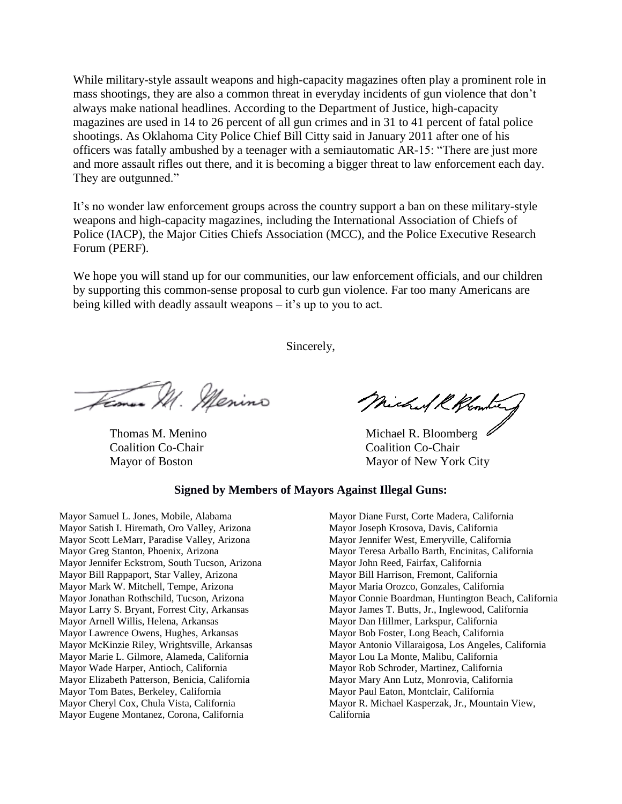While military-style assault weapons and high-capacity magazines often play a prominent role in mass shootings, they are also a common threat in everyday incidents of gun violence that don't always make national headlines. According to the Department of Justice, high-capacity magazines are used in 14 to 26 percent of all gun crimes and in 31 to 41 percent of fatal police shootings. As Oklahoma City Police Chief Bill Citty said in January 2011 after one of his officers was fatally ambushed by a teenager with a semiautomatic AR-15: "There are just more and more assault rifles out there, and it is becoming a bigger threat to law enforcement each day. They are outgunned."

It's no wonder law enforcement groups across the country support a ban on these military-style weapons and high-capacity magazines, including the International Association of Chiefs of Police (IACP), the Major Cities Chiefs Association (MCC), and the Police Executive Research Forum (PERF).

We hope you will stand up for our communities, our law enforcement officials, and our children by supporting this common-sense proposal to curb gun violence. Far too many Americans are being killed with deadly assault weapons – it's up to you to act.

Sincerely,

Feman M. Menino

Coalition Co-Chair Coalition Co-Chair

Michael R Klondie

Thomas M. Menino Michael R. Bloomberg Mayor of Boston Mayor of New York City

## **Signed by Members of Mayors Against Illegal Guns:**

Mayor Samuel L. Jones, Mobile, Alabama Mayor Satish I. Hiremath, Oro Valley, Arizona Mayor Scott LeMarr, Paradise Valley, Arizona Mayor Greg Stanton, Phoenix, Arizona Mayor Jennifer Eckstrom, South Tucson, Arizona Mayor Bill Rappaport, Star Valley, Arizona Mayor Mark W. Mitchell, Tempe, Arizona Mayor Jonathan Rothschild, Tucson, Arizona Mayor Larry S. Bryant, Forrest City, Arkansas Mayor Arnell Willis, Helena, Arkansas Mayor Lawrence Owens, Hughes, Arkansas Mayor McKinzie Riley, Wrightsville, Arkansas Mayor Marie L. Gilmore, Alameda, California Mayor Wade Harper, Antioch, California Mayor Elizabeth Patterson, Benicia, California Mayor Tom Bates, Berkeley, California Mayor Cheryl Cox, Chula Vista, California Mayor Eugene Montanez, Corona, California

Mayor Diane Furst, Corte Madera, California Mayor Joseph Krosova, Davis, California Mayor Jennifer West, Emeryville, California Mayor Teresa Arballo Barth, Encinitas, California Mayor John Reed, Fairfax, California Mayor Bill Harrison, Fremont, California Mayor Maria Orozco, Gonzales, California Mayor Connie Boardman, Huntington Beach, California Mayor James T. Butts, Jr., Inglewood, California Mayor Dan Hillmer, Larkspur, California Mayor Bob Foster, Long Beach, California Mayor Antonio Villaraigosa, Los Angeles, California Mayor Lou La Monte, Malibu, California Mayor Rob Schroder, Martinez, California Mayor Mary Ann Lutz, Monrovia, California Mayor Paul Eaton, Montclair, California Mayor R. Michael Kasperzak, Jr., Mountain View, California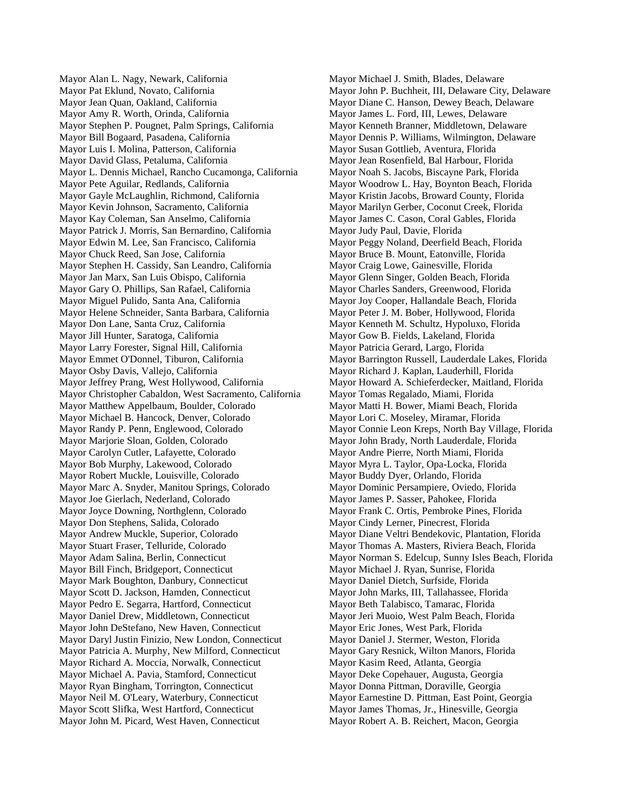Mayor Alan L. Nagy, Newark, California Mayor Pat Eklund, Novato, California Mayor Jean Quan, Oakland, California Mayor Amy R. Worth, Orinda, California Mayor Stephen P. Pougnet, Palm Springs, California Mayor Bill Bogaard, Pasadena, California Mayor Luis I. Molina, Patterson, California Mayor David Glass, Petaluma, California Mayor L. Dennis Michael, Rancho Cucamonga, California Mayor Pete Aguilar, Redlands, California Mayor Gayle McLaughlin, Richmond, California Mayor Kevin Johnson, Sacramento, California Mayor Kay Coleman, San Anselmo, California Mayor Patrick J. Morris, San Bernardino, California Mayor Edwin M. Lee, San Francisco, California Mayor Chuck Reed, San Jose, California Mayor Stephen H. Cassidy, San Leandro, California Mayor Jan Marx, San Luis Obispo, California Mayor Gary O. Phillips, San Rafael, California Mayor Miguel Pulido, Santa Ana, California Mayor Helene Schneider, Santa Barbara, California Mayor Don Lane, Santa Cruz, California Mayor Jill Hunter, Saratoga, California Mayor Larry Forester, Signal Hill, California Mayor Emmet O'Donnel, Tiburon, California Mayor Osby Davis, Vallejo, California Mayor Jeffrey Prang, West Hollywood, California Mayor Christopher Cabaldon, West Sacramento, California Mayor Matthew Appelbaum, Boulder, Colorado Mayor Michael B. Hancock, Denver, Colorado Mayor Randy P. Penn, Englewood, Colorado Mayor Marjorie Sloan, Golden, Colorado Mayor Carolyn Cutler, Lafayette, Colorado Mayor Bob Murphy, Lakewood, Colorado Mayor Robert Muckle, Louisville, Colorado Mayor Marc A. Snyder, Manitou Springs, Colorado Mayor Joe Gierlach, Nederland, Colorado Mayor Joyce Downing, Northglenn, Colorado Mayor Don Stephens, Salida, Colorado Mayor Andrew Muckle, Superior, Colorado Mayor Stuart Fraser, Telluride, Colorado Mayor Adam Salina, Berlin, Connecticut Mayor Bill Finch, Bridgeport, Connecticut Mayor Mark Boughton, Danbury, Connecticut Mayor Scott D. Jackson, Hamden, Connecticut Mayor Pedro E. Segarra, Hartford, Connecticut Mayor Daniel Drew, Middletown, Connecticut Mayor John DeStefano, New Haven, Connecticut Mayor Daryl Justin Finizio, New London, Connecticut Mayor Patricia A. Murphy, New Milford, Connecticut Mayor Richard A. Moccia, Norwalk, Connecticut Mayor Michael A. Pavia, Stamford, Connecticut Mayor Ryan Bingham, Torrington, Connecticut Mayor Neil M. O'Leary, Waterbury, Connecticut Mayor Scott Slifka, West Hartford, Connecticut Mayor John M. Picard, West Haven, Connecticut

Mayor Michael J. Smith, Blades, Delaware Mayor John P. Buchheit, III, Delaware City, Delaware Mayor Diane C. Hanson, Dewey Beach, Delaware Mayor James L. Ford, III, Lewes, Delaware Mayor Kenneth Branner, Middletown, Delaware Mayor Dennis P. Williams, Wilmington, Delaware Mayor Susan Gottlieb, Aventura, Florida Mayor Jean Rosenfield, Bal Harbour, Florida Mayor Noah S. Jacobs, Biscayne Park, Florida Mayor Woodrow L. Hay, Boynton Beach, Florida Mayor Kristin Jacobs, Broward County, Florida Mayor Marilyn Gerber, Coconut Creek, Florida Mayor James C. Cason, Coral Gables, Florida Mayor Judy Paul, Davie, Florida Mayor Peggy Noland, Deerfield Beach, Florida Mayor Bruce B. Mount, Eatonville, Florida Mayor Craig Lowe, Gainesville, Florida Mayor Glenn Singer, Golden Beach, Florida Mayor Charles Sanders, Greenwood, Florida Mayor Joy Cooper, Hallandale Beach, Florida Mayor Peter J. M. Bober, Hollywood, Florida Mayor Kenneth M. Schultz, Hypoluxo, Florida Mayor Gow B. Fields, Lakeland, Florida Mayor Patricia Gerard, Largo, Florida Mayor Barrington Russell, Lauderdale Lakes, Florida Mayor Richard J. Kaplan, Lauderhill, Florida Mayor Howard A. Schieferdecker, Maitland, Florida Mayor Tomas Regalado, Miami, Florida Mayor Matti H. Bower, Miami Beach, Florida Mayor Lori C. Moseley, Miramar, Florida Mayor Connie Leon Kreps, North Bay Village, Florida Mayor John Brady, North Lauderdale, Florida Mayor Andre Pierre, North Miami, Florida Mayor Myra L. Taylor, Opa-Locka, Florida Mayor Buddy Dyer, Orlando, Florida Mayor Dominic Persampiere, Oviedo, Florida Mayor James P. Sasser, Pahokee, Florida Mayor Frank C. Ortis, Pembroke Pines, Florida Mayor Cindy Lerner, Pinecrest, Florida Mayor Diane Veltri Bendekovic, Plantation, Florida Mayor Thomas A. Masters, Riviera Beach, Florida Mayor Norman S. Edelcup, Sunny Isles Beach, Florida Mayor Michael J. Ryan, Sunrise, Florida Mayor Daniel Dietch, Surfside, Florida Mayor John Marks, III, Tallahassee, Florida Mayor Beth Talabisco, Tamarac, Florida Mayor Jeri Muoio, West Palm Beach, Florida Mayor Eric Jones, West Park, Florida Mayor Daniel J. Stermer, Weston, Florida Mayor Gary Resnick, Wilton Manors, Florida Mayor Kasim Reed, Atlanta, Georgia Mayor Deke Copehauer, Augusta, Georgia Mayor Donna Pittman, Doraville, Georgia Mayor Earnestine D. Pittman, East Point, Georgia Mayor James Thomas, Jr., Hinesville, Georgia Mayor Robert A. B. Reichert, Macon, Georgia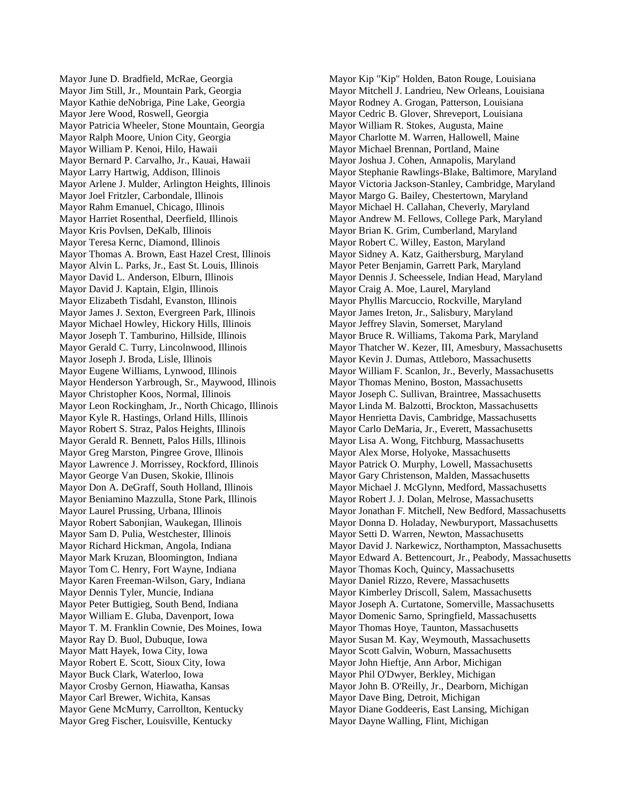Mayor June D. Bradfield, McRae, Georgia Mayor Jim Still, Jr., Mountain Park, Georgia Mayor Kathie deNobriga, Pine Lake, Georgia Mayor Jere Wood, Roswell, Georgia Mayor Patricia Wheeler, Stone Mountain, Georgia Mayor Ralph Moore, Union City, Georgia Mayor William P. Kenoi, Hilo, Hawaii Mayor Bernard P. Carvalho, Jr., Kauai, Hawaii Mayor Larry Hartwig, Addison, Illinois Mayor Arlene J. Mulder, Arlington Heights, Illinois Mayor Joel Fritzler, Carbondale, Illinois Mayor Rahm Emanuel, Chicago, Illinois Mayor Harriet Rosenthal, Deerfield, Illinois Mayor Kris Povlsen, DeKalb, Illinois Mayor Teresa Kernc, Diamond, Illinois Mayor Thomas A. Brown, East Hazel Crest, Illinois Mayor Alvin L. Parks, Jr., East St. Louis, Illinois Mayor David L. Anderson, Elburn, Illinois Mayor David J. Kaptain, Elgin, Illinois Mayor Elizabeth Tisdahl, Evanston, Illinois Mayor James J. Sexton, Evergreen Park, Illinois Mayor Michael Howley, Hickory Hills, Illinois Mayor Joseph T. Tamburino, Hillside, Illinois Mayor Gerald C. Turry, Lincolnwood, Illinois Mayor Joseph J. Broda, Lisle, Illinois Mayor Eugene Williams, Lynwood, Illinois Mayor Henderson Yarbrough, Sr., Maywood, Illinois Mayor Christopher Koos, Normal, Illinois Mayor Leon Rockingham, Jr., North Chicago, Illinois Mayor Kyle R. Hastings, Orland Hills, Illinois Mayor Robert S. Straz, Palos Heights, Illinois Mayor Gerald R. Bennett, Palos Hills, Illinois Mayor Greg Marston, Pingree Grove, Illinois Mayor Lawrence J. Morrissey, Rockford, Illinois Mayor George Van Dusen, Skokie, Illinois Mayor Don A. DeGraff, South Holland, Illinois Mayor Beniamino Mazzulla, Stone Park, Illinois Mayor Laurel Prussing, Urbana, Illinois Mayor Robert Sabonjian, Waukegan, Illinois Mayor Sam D. Pulia, Westchester, Illinois Mayor Richard Hickman, Angola, Indiana Mayor Mark Kruzan, Bloomington, Indiana Mayor Tom C. Henry, Fort Wayne, Indiana Mayor Karen Freeman-Wilson, Gary, Indiana Mayor Dennis Tyler, Muncie, Indiana Mayor Peter Buttigieg, South Bend, Indiana Mayor William E. Gluba, Davenport, Iowa Mayor T. M. Franklin Cownie, Des Moines, Iowa Mayor Ray D. Buol, Dubuque, Iowa Mayor Matt Hayek, Iowa City, Iowa Mayor Robert E. Scott, Sioux City, Iowa Mayor Buck Clark, Waterloo, Iowa Mayor Crosby Gernon, Hiawatha, Kansas Mayor Carl Brewer, Wichita, Kansas Mayor Gene McMurry, Carrollton, Kentucky Mayor Greg Fischer, Louisville, Kentucky

Mayor Kip "Kip" Holden, Baton Rouge, Louisiana Mayor Mitchell J. Landrieu, New Orleans, Louisiana Mayor Rodney A. Grogan, Patterson, Louisiana Mayor Cedric B. Glover, Shreveport, Louisiana Mayor William R. Stokes, Augusta, Maine Mayor Charlotte M. Warren, Hallowell, Maine Mayor Michael Brennan, Portland, Maine Mayor Joshua J. Cohen, Annapolis, Maryland Mayor Stephanie Rawlings-Blake, Baltimore, Maryland Mayor Victoria Jackson-Stanley, Cambridge, Maryland Mayor Margo G. Bailey, Chestertown, Maryland Mayor Michael H. Callahan, Cheverly, Maryland Mayor Andrew M. Fellows, College Park, Maryland Mayor Brian K. Grim, Cumberland, Maryland Mayor Robert C. Willey, Easton, Maryland Mayor Sidney A. Katz, Gaithersburg, Maryland Mayor Peter Benjamin, Garrett Park, Maryland Mayor Dennis J. Scheessele, Indian Head, Maryland Mayor Craig A. Moe, Laurel, Maryland Mayor Phyllis Marcuccio, Rockville, Maryland Mayor James Ireton, Jr., Salisbury, Maryland Mayor Jeffrey Slavin, Somerset, Maryland Mayor Bruce R. Williams, Takoma Park, Maryland Mayor Thatcher W. Kezer, III, Amesbury, Massachusetts Mayor Kevin J. Dumas, Attleboro, Massachusetts Mayor William F. Scanlon, Jr., Beverly, Massachusetts Mayor Thomas Menino, Boston, Massachusetts Mayor Joseph C. Sullivan, Braintree, Massachusetts Mayor Linda M. Balzotti, Brockton, Massachusetts Mayor Henrietta Davis, Cambridge, Massachusetts Mayor Carlo DeMaria, Jr., Everett, Massachusetts Mayor Lisa A. Wong, Fitchburg, Massachusetts Mayor Alex Morse, Holyoke, Massachusetts Mayor Patrick O. Murphy, Lowell, Massachusetts Mayor Gary Christenson, Malden, Massachusetts Mayor Michael J. McGlynn, Medford, Massachusetts Mayor Robert J. J. Dolan, Melrose, Massachusetts Mayor Jonathan F. Mitchell, New Bedford, Massachusetts Mayor Donna D. Holaday, Newburyport, Massachusetts Mayor Setti D. Warren, Newton, Massachusetts Mayor David J. Narkewicz, Northampton, Massachusetts Mayor Edward A. Bettencourt, Jr., Peabody, Massachusetts Mayor Thomas Koch, Quincy, Massachusetts Mayor Daniel Rizzo, Revere, Massachusetts Mayor Kimberley Driscoll, Salem, Massachusetts Mayor Joseph A. Curtatone, Somerville, Massachusetts Mayor Domenic Sarno, Springfield, Massachusetts Mayor Thomas Hoye, Taunton, Massachusetts Mayor Susan M. Kay, Weymouth, Massachusetts Mayor Scott Galvin, Woburn, Massachusetts Mayor John Hieftje, Ann Arbor, Michigan Mayor Phil O'Dwyer, Berkley, Michigan Mayor John B. O'Reilly, Jr., Dearborn, Michigan Mayor Dave Bing, Detroit, Michigan Mayor Diane Goddeeris, East Lansing, Michigan Mayor Dayne Walling, Flint, Michigan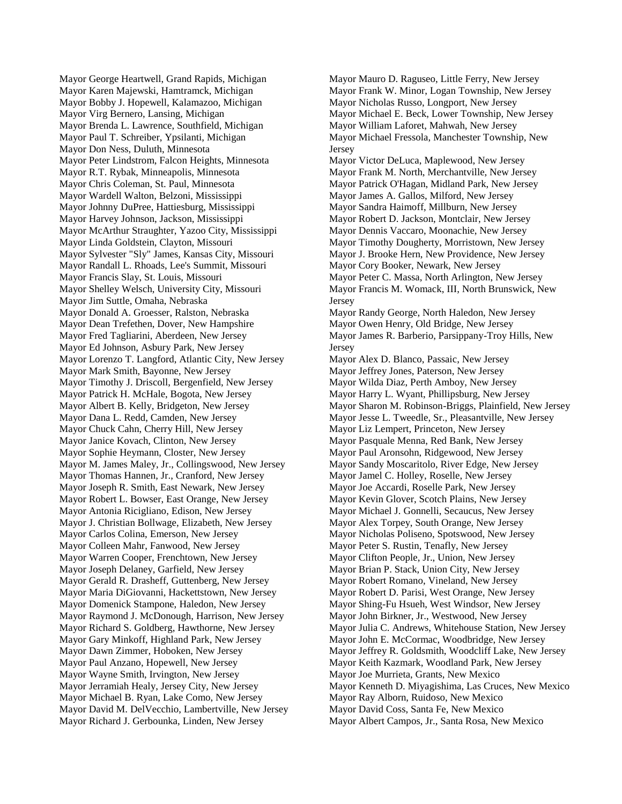Mayor George Heartwell, Grand Rapids, Michigan Mayor Karen Majewski, Hamtramck, Michigan Mayor Bobby J. Hopewell, Kalamazoo, Michigan Mayor Virg Bernero, Lansing, Michigan Mayor Brenda L. Lawrence, Southfield, Michigan Mayor Paul T. Schreiber, Ypsilanti, Michigan Mayor Don Ness, Duluth, Minnesota Mayor Peter Lindstrom, Falcon Heights, Minnesota Mayor R.T. Rybak, Minneapolis, Minnesota Mayor Chris Coleman, St. Paul, Minnesota Mayor Wardell Walton, Belzoni, Mississippi Mayor Johnny DuPree, Hattiesburg, Mississippi Mayor Harvey Johnson, Jackson, Mississippi Mayor McArthur Straughter, Yazoo City, Mississippi Mayor Linda Goldstein, Clayton, Missouri Mayor Sylvester "Sly" James, Kansas City, Missouri Mayor Randall L. Rhoads, Lee's Summit, Missouri Mayor Francis Slay, St. Louis, Missouri Mayor Shelley Welsch, University City, Missouri Mayor Jim Suttle, Omaha, Nebraska Mayor Donald A. Groesser, Ralston, Nebraska Mayor Dean Trefethen, Dover, New Hampshire Mayor Fred Tagliarini, Aberdeen, New Jersey Mayor Ed Johnson, Asbury Park, New Jersey Mayor Lorenzo T. Langford, Atlantic City, New Jersey Mayor Mark Smith, Bayonne, New Jersey Mayor Timothy J. Driscoll, Bergenfield, New Jersey Mayor Patrick H. McHale, Bogota, New Jersey Mayor Albert B. Kelly, Bridgeton, New Jersey Mayor Dana L. Redd, Camden, New Jersey Mayor Chuck Cahn, Cherry Hill, New Jersey Mayor Janice Kovach, Clinton, New Jersey Mayor Sophie Heymann, Closter, New Jersey Mayor M. James Maley, Jr., Collingswood, New Jersey Mayor Thomas Hannen, Jr., Cranford, New Jersey Mayor Joseph R. Smith, East Newark, New Jersey Mayor Robert L. Bowser, East Orange, New Jersey Mayor Antonia Ricigliano, Edison, New Jersey Mayor J. Christian Bollwage, Elizabeth, New Jersey Mayor Carlos Colina, Emerson, New Jersey Mayor Colleen Mahr, Fanwood, New Jersey Mayor Warren Cooper, Frenchtown, New Jersey Mayor Joseph Delaney, Garfield, New Jersey Mayor Gerald R. Drasheff, Guttenberg, New Jersey Mayor Maria DiGiovanni, Hackettstown, New Jersey Mayor Domenick Stampone, Haledon, New Jersey Mayor Raymond J. McDonough, Harrison, New Jersey Mayor Richard S. Goldberg, Hawthorne, New Jersey Mayor Gary Minkoff, Highland Park, New Jersey Mayor Dawn Zimmer, Hoboken, New Jersey Mayor Paul Anzano, Hopewell, New Jersey Mayor Wayne Smith, Irvington, New Jersey Mayor Jerramiah Healy, Jersey City, New Jersey Mayor Michael B. Ryan, Lake Como, New Jersey Mayor David M. DelVecchio, Lambertville, New Jersey Mayor Richard J. Gerbounka, Linden, New Jersey

Mayor Mauro D. Raguseo, Little Ferry, New Jersey Mayor Frank W. Minor, Logan Township, New Jersey Mayor Nicholas Russo, Longport, New Jersey Mayor Michael E. Beck, Lower Township, New Jersey Mayor William Laforet, Mahwah, New Jersey Mayor Michael Fressola, Manchester Township, New Jersey Mayor Victor DeLuca, Maplewood, New Jersey Mayor Frank M. North, Merchantville, New Jersey Mayor Patrick O'Hagan, Midland Park, New Jersey Mayor James A. Gallos, Milford, New Jersey Mayor Sandra Haimoff, Millburn, New Jersey Mayor Robert D. Jackson, Montclair, New Jersey Mayor Dennis Vaccaro, Moonachie, New Jersey Mayor Timothy Dougherty, Morristown, New Jersey Mayor J. Brooke Hern, New Providence, New Jersey Mayor Cory Booker, Newark, New Jersey Mayor Peter C. Massa, North Arlington, New Jersey Mayor Francis M. Womack, III, North Brunswick, New **Jersey** Mayor Randy George, North Haledon, New Jersey Mayor Owen Henry, Old Bridge, New Jersey Mayor James R. Barberio, Parsippany-Troy Hills, New Jersey Mayor Alex D. Blanco, Passaic, New Jersey Mayor Jeffrey Jones, Paterson, New Jersey Mayor Wilda Diaz, Perth Amboy, New Jersey Mayor Harry L. Wyant, Phillipsburg, New Jersey Mayor Sharon M. Robinson-Briggs, Plainfield, New Jersey Mayor Jesse L. Tweedle, Sr., Pleasantville, New Jersey Mayor Liz Lempert, Princeton, New Jersey Mayor Pasquale Menna, Red Bank, New Jersey Mayor Paul Aronsohn, Ridgewood, New Jersey Mayor Sandy Moscaritolo, River Edge, New Jersey Mayor Jamel C. Holley, Roselle, New Jersey Mayor Joe Accardi, Roselle Park, New Jersey Mayor Kevin Glover, Scotch Plains, New Jersey Mayor Michael J. Gonnelli, Secaucus, New Jersey Mayor Alex Torpey, South Orange, New Jersey Mayor Nicholas Poliseno, Spotswood, New Jersey Mayor Peter S. Rustin, Tenafly, New Jersey Mayor Clifton People, Jr., Union, New Jersey Mayor Brian P. Stack, Union City, New Jersey Mayor Robert Romano, Vineland, New Jersey Mayor Robert D. Parisi, West Orange, New Jersey Mayor Shing-Fu Hsueh, West Windsor, New Jersey Mayor John Birkner, Jr., Westwood, New Jersey Mayor Julia C. Andrews, Whitehouse Station, New Jersey Mayor John E. McCormac, Woodbridge, New Jersey Mayor Jeffrey R. Goldsmith, Woodcliff Lake, New Jersey Mayor Keith Kazmark, Woodland Park, New Jersey Mayor Joe Murrieta, Grants, New Mexico Mayor Kenneth D. Miyagishima, Las Cruces, New Mexico Mayor Ray Alborn, Ruidoso, New Mexico Mayor David Coss, Santa Fe, New Mexico Mayor Albert Campos, Jr., Santa Rosa, New Mexico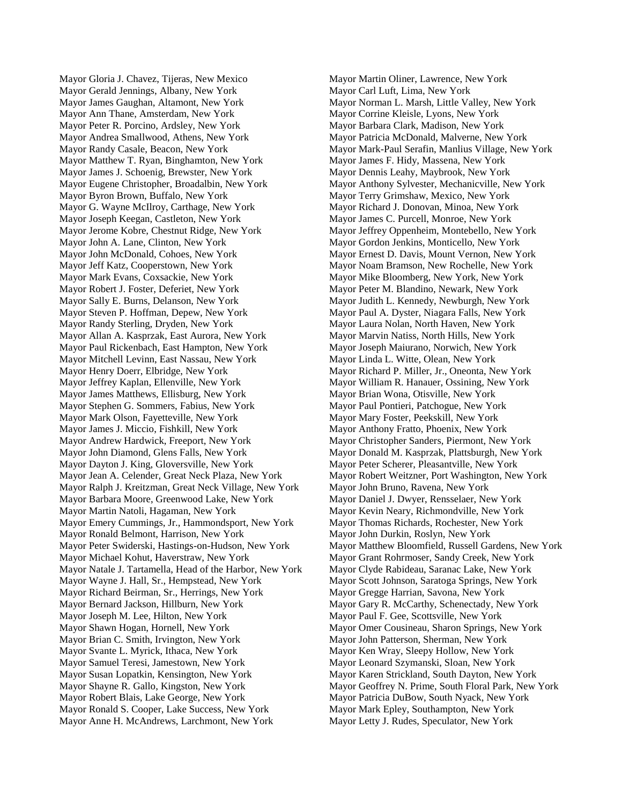Mayor Gloria J. Chavez, Tijeras, New Mexico Mayor Gerald Jennings, Albany, New York Mayor James Gaughan, Altamont, New York Mayor Ann Thane, Amsterdam, New York Mayor Peter R. Porcino, Ardsley, New York Mayor Andrea Smallwood, Athens, New York Mayor Randy Casale, Beacon, New York Mayor Matthew T. Ryan, Binghamton, New York Mayor James J. Schoenig, Brewster, New York Mayor Eugene Christopher, Broadalbin, New York Mayor Byron Brown, Buffalo, New York Mayor G. Wayne McIlroy, Carthage, New York Mayor Joseph Keegan, Castleton, New York Mayor Jerome Kobre, Chestnut Ridge, New York Mayor John A. Lane, Clinton, New York Mayor John McDonald, Cohoes, New York Mayor Jeff Katz, Cooperstown, New York Mayor Mark Evans, Coxsackie, New York Mayor Robert J. Foster, Deferiet, New York Mayor Sally E. Burns, Delanson, New York Mayor Steven P. Hoffman, Depew, New York Mayor Randy Sterling, Dryden, New York Mayor Allan A. Kasprzak, East Aurora, New York Mayor Paul Rickenbach, East Hampton, New York Mayor Mitchell Levinn, East Nassau, New York Mayor Henry Doerr, Elbridge, New York Mayor Jeffrey Kaplan, Ellenville, New York Mayor James Matthews, Ellisburg, New York Mayor Stephen G. Sommers, Fabius, New York Mayor Mark Olson, Fayetteville, New York Mayor James J. Miccio, Fishkill, New York Mayor Andrew Hardwick, Freeport, New York Mayor John Diamond, Glens Falls, New York Mayor Dayton J. King, Gloversville, New York Mayor Jean A. Celender, Great Neck Plaza, New York Mayor Ralph J. Kreitzman, Great Neck Village, New York Mayor Barbara Moore, Greenwood Lake, New York Mayor Martin Natoli, Hagaman, New York Mayor Emery Cummings, Jr., Hammondsport, New York Mayor Ronald Belmont, Harrison, New York Mayor Peter Swiderski, Hastings-on-Hudson, New York Mayor Michael Kohut, Haverstraw, New York Mayor Natale J. Tartamella, Head of the Harbor, New York Mayor Wayne J. Hall, Sr., Hempstead, New York Mayor Richard Beirman, Sr., Herrings, New York Mayor Bernard Jackson, Hillburn, New York Mayor Joseph M. Lee, Hilton, New York Mayor Shawn Hogan, Hornell, New York Mayor Brian C. Smith, Irvington, New York Mayor Svante L. Myrick, Ithaca, New York Mayor Samuel Teresi, Jamestown, New York Mayor Susan Lopatkin, Kensington, New York Mayor Shayne R. Gallo, Kingston, New York Mayor Robert Blais, Lake George, New York Mayor Ronald S. Cooper, Lake Success, New York Mayor Anne H. McAndrews, Larchmont, New York

Mayor Martin Oliner, Lawrence, New York Mayor Carl Luft, Lima, New York Mayor Norman L. Marsh, Little Valley, New York Mayor Corrine Kleisle, Lyons, New York Mayor Barbara Clark, Madison, New York Mayor Patricia McDonald, Malverne, New York Mayor Mark-Paul Serafin, Manlius Village, New York Mayor James F. Hidy, Massena, New York Mayor Dennis Leahy, Maybrook, New York Mayor Anthony Sylvester, Mechanicville, New York Mayor Terry Grimshaw, Mexico, New York Mayor Richard J. Donovan, Minoa, New York Mayor James C. Purcell, Monroe, New York Mayor Jeffrey Oppenheim, Montebello, New York Mayor Gordon Jenkins, Monticello, New York Mayor Ernest D. Davis, Mount Vernon, New York Mayor Noam Bramson, New Rochelle, New York Mayor Mike Bloomberg, New York, New York Mayor Peter M. Blandino, Newark, New York Mayor Judith L. Kennedy, Newburgh, New York Mayor Paul A. Dyster, Niagara Falls, New York Mayor Laura Nolan, North Haven, New York Mayor Marvin Natiss, North Hills, New York Mayor Joseph Maiurano, Norwich, New York Mayor Linda L. Witte, Olean, New York Mayor Richard P. Miller, Jr., Oneonta, New York Mayor William R. Hanauer, Ossining, New York Mayor Brian Wona, Otisville, New York Mayor Paul Pontieri, Patchogue, New York Mayor Mary Foster, Peekskill, New York Mayor Anthony Fratto, Phoenix, New York Mayor Christopher Sanders, Piermont, New York Mayor Donald M. Kasprzak, Plattsburgh, New York Mayor Peter Scherer, Pleasantville, New York Mayor Robert Weitzner, Port Washington, New York Mayor John Bruno, Ravena, New York Mayor Daniel J. Dwyer, Rensselaer, New York Mayor Kevin Neary, Richmondville, New York Mayor Thomas Richards, Rochester, New York Mayor John Durkin, Roslyn, New York Mayor Matthew Bloomfield, Russell Gardens, New York Mayor Grant Rohrmoser, Sandy Creek, New York Mayor Clyde Rabideau, Saranac Lake, New York Mayor Scott Johnson, Saratoga Springs, New York Mayor Gregge Harrian, Savona, New York Mayor Gary R. McCarthy, Schenectady, New York Mayor Paul F. Gee, Scottsville, New York Mayor Omer Cousineau, Sharon Springs, New York Mayor John Patterson, Sherman, New York Mayor Ken Wray, Sleepy Hollow, New York Mayor Leonard Szymanski, Sloan, New York Mayor Karen Strickland, South Dayton, New York Mayor Geoffrey N. Prime, South Floral Park, New York Mayor Patricia DuBow, South Nyack, New York Mayor Mark Epley, Southampton, New York Mayor Letty J. Rudes, Speculator, New York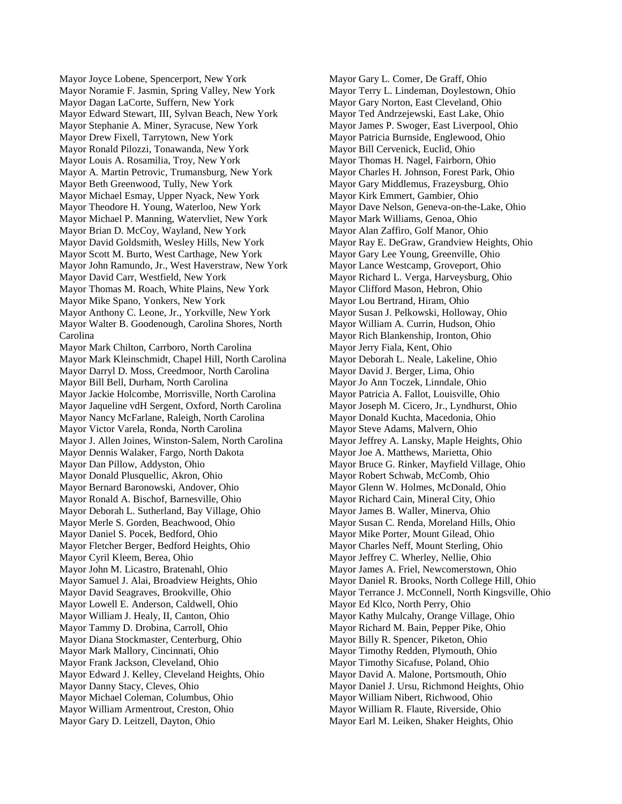Mayor Joyce Lobene, Spencerport, New York Mayor Noramie F. Jasmin, Spring Valley, New York Mayor Dagan LaCorte, Suffern, New York Mayor Edward Stewart, III, Sylvan Beach, New York Mayor Stephanie A. Miner, Syracuse, New York Mayor Drew Fixell, Tarrytown, New York Mayor Ronald Pilozzi, Tonawanda, New York Mayor Louis A. Rosamilia, Troy, New York Mayor A. Martin Petrovic, Trumansburg, New York Mayor Beth Greenwood, Tully, New York Mayor Michael Esmay, Upper Nyack, New York Mayor Theodore H. Young, Waterloo, New York Mayor Michael P. Manning, Watervliet, New York Mayor Brian D. McCoy, Wayland, New York Mayor David Goldsmith, Wesley Hills, New York Mayor Scott M. Burto, West Carthage, New York Mayor John Ramundo, Jr., West Haverstraw, New York Mayor David Carr, Westfield, New York Mayor Thomas M. Roach, White Plains, New York Mayor Mike Spano, Yonkers, New York Mayor Anthony C. Leone, Jr., Yorkville, New York Mayor Walter B. Goodenough, Carolina Shores, North Carolina Mayor Mark Chilton, Carrboro, North Carolina Mayor Mark Kleinschmidt, Chapel Hill, North Carolina Mayor Darryl D. Moss, Creedmoor, North Carolina Mayor Bill Bell, Durham, North Carolina Mayor Jackie Holcombe, Morrisville, North Carolina Mayor Jaqueline vdH Sergent, Oxford, North Carolina Mayor Nancy McFarlane, Raleigh, North Carolina Mayor Victor Varela, Ronda, North Carolina Mayor J. Allen Joines, Winston-Salem, North Carolina Mayor Dennis Walaker, Fargo, North Dakota Mayor Dan Pillow, Addyston, Ohio Mayor Donald Plusquellic, Akron, Ohio Mayor Bernard Baronowski, Andover, Ohio Mayor Ronald A. Bischof, Barnesville, Ohio Mayor Deborah L. Sutherland, Bay Village, Ohio Mayor Merle S. Gorden, Beachwood, Ohio Mayor Daniel S. Pocek, Bedford, Ohio Mayor Fletcher Berger, Bedford Heights, Ohio Mayor Cyril Kleem, Berea, Ohio Mayor John M. Licastro, Bratenahl, Ohio Mayor Samuel J. Alai, Broadview Heights, Ohio Mayor David Seagraves, Brookville, Ohio Mayor Lowell E. Anderson, Caldwell, Ohio Mayor William J. Healy, II, Canton, Ohio Mayor Tammy D. Drobina, Carroll, Ohio Mayor Diana Stockmaster, Centerburg, Ohio Mayor Mark Mallory, Cincinnati, Ohio Mayor Frank Jackson, Cleveland, Ohio Mayor Edward J. Kelley, Cleveland Heights, Ohio Mayor Danny Stacy, Cleves, Ohio Mayor Michael Coleman, Columbus, Ohio Mayor William Armentrout, Creston, Ohio Mayor Gary D. Leitzell, Dayton, Ohio

Mayor Gary L. Comer, De Graff, Ohio Mayor Terry L. Lindeman, Doylestown, Ohio Mayor Gary Norton, East Cleveland, Ohio Mayor Ted Andrzejewski, East Lake, Ohio Mayor James P. Swoger, East Liverpool, Ohio Mayor Patricia Burnside, Englewood, Ohio Mayor Bill Cervenick, Euclid, Ohio Mayor Thomas H. Nagel, Fairborn, Ohio Mayor Charles H. Johnson, Forest Park, Ohio Mayor Gary Middlemus, Frazeysburg, Ohio Mayor Kirk Emmert, Gambier, Ohio Mayor Dave Nelson, Geneva-on-the-Lake, Ohio Mayor Mark Williams, Genoa, Ohio Mayor Alan Zaffiro, Golf Manor, Ohio Mayor Ray E. DeGraw, Grandview Heights, Ohio Mayor Gary Lee Young, Greenville, Ohio Mayor Lance Westcamp, Groveport, Ohio Mayor Richard L. Verga, Harveysburg, Ohio Mayor Clifford Mason, Hebron, Ohio Mayor Lou Bertrand, Hiram, Ohio Mayor Susan J. Pelkowski, Holloway, Ohio Mayor William A. Currin, Hudson, Ohio Mayor Rich Blankenship, Ironton, Ohio Mayor Jerry Fiala, Kent, Ohio Mayor Deborah L. Neale, Lakeline, Ohio Mayor David J. Berger, Lima, Ohio Mayor Jo Ann Toczek, Linndale, Ohio Mayor Patricia A. Fallot, Louisville, Ohio Mayor Joseph M. Cicero, Jr., Lyndhurst, Ohio Mayor Donald Kuchta, Macedonia, Ohio Mayor Steve Adams, Malvern, Ohio Mayor Jeffrey A. Lansky, Maple Heights, Ohio Mayor Joe A. Matthews, Marietta, Ohio Mayor Bruce G. Rinker, Mayfield Village, Ohio Mayor Robert Schwab, McComb, Ohio Mayor Glenn W. Holmes, McDonald, Ohio Mayor Richard Cain, Mineral City, Ohio Mayor James B. Waller, Minerva, Ohio Mayor Susan C. Renda, Moreland Hills, Ohio Mayor Mike Porter, Mount Gilead, Ohio Mayor Charles Neff, Mount Sterling, Ohio Mayor Jeffrey C. Wherley, Nellie, Ohio Mayor James A. Friel, Newcomerstown, Ohio Mayor Daniel R. Brooks, North College Hill, Ohio Mayor Terrance J. McConnell, North Kingsville, Ohio Mayor Ed Klco, North Perry, Ohio Mayor Kathy Mulcahy, Orange Village, Ohio Mayor Richard M. Bain, Pepper Pike, Ohio Mayor Billy R. Spencer, Piketon, Ohio Mayor Timothy Redden, Plymouth, Ohio Mayor Timothy Sicafuse, Poland, Ohio Mayor David A. Malone, Portsmouth, Ohio Mayor Daniel J. Ursu, Richmond Heights, Ohio Mayor William Nibert, Richwood, Ohio Mayor William R. Flaute, Riverside, Ohio Mayor Earl M. Leiken, Shaker Heights, Ohio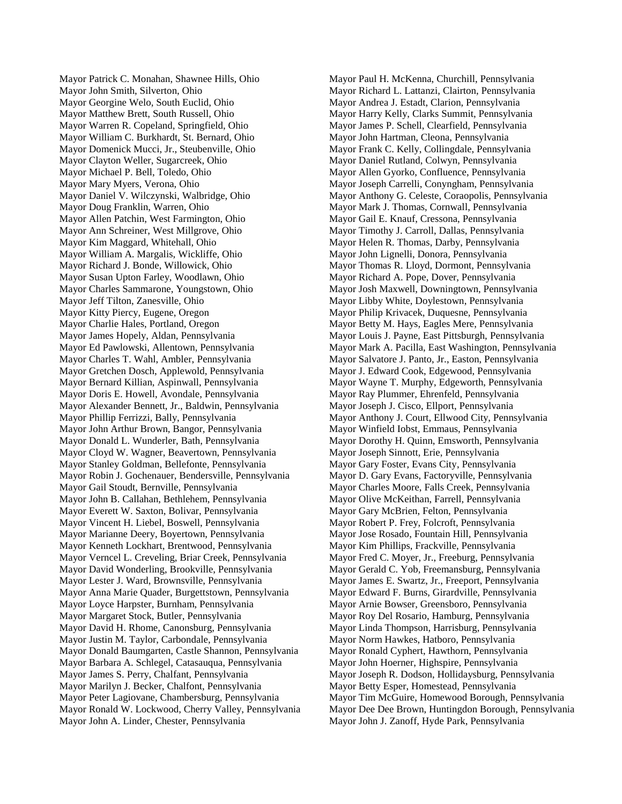Mayor Patrick C. Monahan, Shawnee Hills, Ohio Mayor John Smith, Silverton, Ohio Mayor Georgine Welo, South Euclid, Ohio Mayor Matthew Brett, South Russell, Ohio Mayor Warren R. Copeland, Springfield, Ohio Mayor William C. Burkhardt, St. Bernard, Ohio Mayor Domenick Mucci, Jr., Steubenville, Ohio Mayor Clayton Weller, Sugarcreek, Ohio Mayor Michael P. Bell, Toledo, Ohio Mayor Mary Myers, Verona, Ohio Mayor Daniel V. Wilczynski, Walbridge, Ohio Mayor Doug Franklin, Warren, Ohio Mayor Allen Patchin, West Farmington, Ohio Mayor Ann Schreiner, West Millgrove, Ohio Mayor Kim Maggard, Whitehall, Ohio Mayor William A. Margalis, Wickliffe, Ohio Mayor Richard J. Bonde, Willowick, Ohio Mayor Susan Upton Farley, Woodlawn, Ohio Mayor Charles Sammarone, Youngstown, Ohio Mayor Jeff Tilton, Zanesville, Ohio Mayor Kitty Piercy, Eugene, Oregon Mayor Charlie Hales, Portland, Oregon Mayor James Hopely, Aldan, Pennsylvania Mayor Ed Pawlowski, Allentown, Pennsylvania Mayor Charles T. Wahl, Ambler, Pennsylvania Mayor Gretchen Dosch, Applewold, Pennsylvania Mayor Bernard Killian, Aspinwall, Pennsylvania Mayor Doris E. Howell, Avondale, Pennsylvania Mayor Alexander Bennett, Jr., Baldwin, Pennsylvania Mayor Phillip Ferrizzi, Bally, Pennsylvania Mayor John Arthur Brown, Bangor, Pennsylvania Mayor Donald L. Wunderler, Bath, Pennsylvania Mayor Cloyd W. Wagner, Beavertown, Pennsylvania Mayor Stanley Goldman, Bellefonte, Pennsylvania Mayor Robin J. Gochenauer, Bendersville, Pennsylvania Mayor Gail Stoudt, Bernville, Pennsylvania Mayor John B. Callahan, Bethlehem, Pennsylvania Mayor Everett W. Saxton, Bolivar, Pennsylvania Mayor Vincent H. Liebel, Boswell, Pennsylvania Mayor Marianne Deery, Boyertown, Pennsylvania Mayor Kenneth Lockhart, Brentwood, Pennsylvania Mayor Verncel L. Creveling, Briar Creek, Pennsylvania Mayor David Wonderling, Brookville, Pennsylvania Mayor Lester J. Ward, Brownsville, Pennsylvania Mayor Anna Marie Quader, Burgettstown, Pennsylvania Mayor Loyce Harpster, Burnham, Pennsylvania Mayor Margaret Stock, Butler, Pennsylvania Mayor David H. Rhome, Canonsburg, Pennsylvania Mayor Justin M. Taylor, Carbondale, Pennsylvania Mayor Donald Baumgarten, Castle Shannon, Pennsylvania Mayor Barbara A. Schlegel, Catasauqua, Pennsylvania Mayor James S. Perry, Chalfant, Pennsylvania Mayor Marilyn J. Becker, Chalfont, Pennsylvania Mayor Peter Lagiovane, Chambersburg, Pennsylvania Mayor Ronald W. Lockwood, Cherry Valley, Pennsylvania Mayor John A. Linder, Chester, Pennsylvania

Mayor Paul H. McKenna, Churchill, Pennsylvania Mayor Richard L. Lattanzi, Clairton, Pennsylvania Mayor Andrea J. Estadt, Clarion, Pennsylvania Mayor Harry Kelly, Clarks Summit, Pennsylvania Mayor James P. Schell, Clearfield, Pennsylvania Mayor John Hartman, Cleona, Pennsylvania Mayor Frank C. Kelly, Collingdale, Pennsylvania Mayor Daniel Rutland, Colwyn, Pennsylvania Mayor Allen Gyorko, Confluence, Pennsylvania Mayor Joseph Carrelli, Conyngham, Pennsylvania Mayor Anthony G. Celeste, Coraopolis, Pennsylvania Mayor Mark J. Thomas, Cornwall, Pennsylvania Mayor Gail E. Knauf, Cressona, Pennsylvania Mayor Timothy J. Carroll, Dallas, Pennsylvania Mayor Helen R. Thomas, Darby, Pennsylvania Mayor John Lignelli, Donora, Pennsylvania Mayor Thomas R. Lloyd, Dormont, Pennsylvania Mayor Richard A. Pope, Dover, Pennsylvania Mayor Josh Maxwell, Downingtown, Pennsylvania Mayor Libby White, Doylestown, Pennsylvania Mayor Philip Krivacek, Duquesne, Pennsylvania Mayor Betty M. Hays, Eagles Mere, Pennsylvania Mayor Louis J. Payne, East Pittsburgh, Pennsylvania Mayor Mark A. Pacilla, East Washington, Pennsylvania Mayor Salvatore J. Panto, Jr., Easton, Pennsylvania Mayor J. Edward Cook, Edgewood, Pennsylvania Mayor Wayne T. Murphy, Edgeworth, Pennsylvania Mayor Ray Plummer, Ehrenfeld, Pennsylvania Mayor Joseph J. Cisco, Ellport, Pennsylvania Mayor Anthony J. Court, Ellwood City, Pennsylvania Mayor Winfield Iobst, Emmaus, Pennsylvania Mayor Dorothy H. Quinn, Emsworth, Pennsylvania Mayor Joseph Sinnott, Erie, Pennsylvania Mayor Gary Foster, Evans City, Pennsylvania Mayor D. Gary Evans, Factoryville, Pennsylvania Mayor Charles Moore, Falls Creek, Pennsylvania Mayor Olive McKeithan, Farrell, Pennsylvania Mayor Gary McBrien, Felton, Pennsylvania Mayor Robert P. Frey, Folcroft, Pennsylvania Mayor Jose Rosado, Fountain Hill, Pennsylvania Mayor Kim Phillips, Frackville, Pennsylvania Mayor Fred C. Moyer, Jr., Freeburg, Pennsylvania Mayor Gerald C. Yob, Freemansburg, Pennsylvania Mayor James E. Swartz, Jr., Freeport, Pennsylvania Mayor Edward F. Burns, Girardville, Pennsylvania Mayor Arnie Bowser, Greensboro, Pennsylvania Mayor Roy Del Rosario, Hamburg, Pennsylvania Mayor Linda Thompson, Harrisburg, Pennsylvania Mayor Norm Hawkes, Hatboro, Pennsylvania Mayor Ronald Cyphert, Hawthorn, Pennsylvania Mayor John Hoerner, Highspire, Pennsylvania Mayor Joseph R. Dodson, Hollidaysburg, Pennsylvania Mayor Betty Esper, Homestead, Pennsylvania Mayor Tim McGuire, Homewood Borough, Pennsylvania Mayor Dee Dee Brown, Huntingdon Borough, Pennsylvania Mayor John J. Zanoff, Hyde Park, Pennsylvania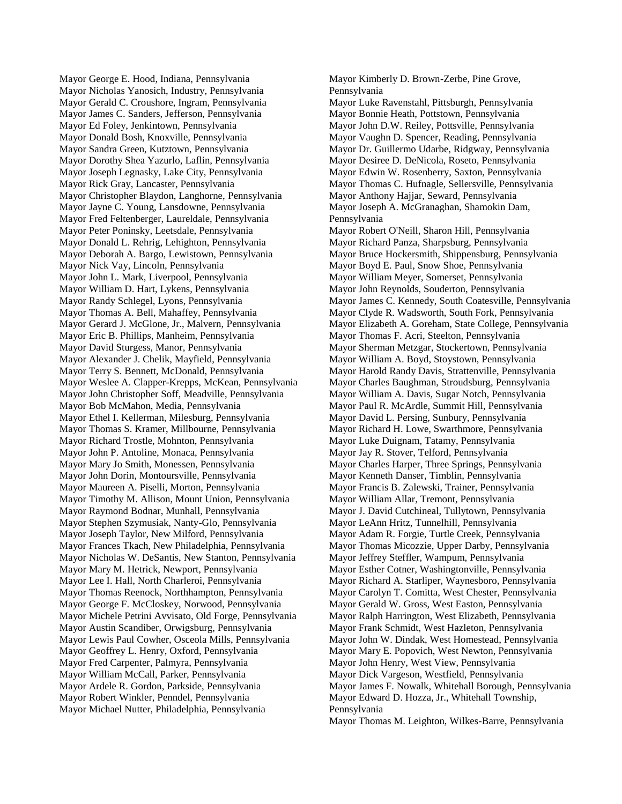Mayor George E. Hood, Indiana, Pennsylvania Mayor Nicholas Yanosich, Industry, Pennsylvania Mayor Gerald C. Croushore, Ingram, Pennsylvania Mayor James C. Sanders, Jefferson, Pennsylvania Mayor Ed Foley, Jenkintown, Pennsylvania Mayor Donald Bosh, Knoxville, Pennsylvania Mayor Sandra Green, Kutztown, Pennsylvania Mayor Dorothy Shea Yazurlo, Laflin, Pennsylvania Mayor Joseph Legnasky, Lake City, Pennsylvania Mayor Rick Gray, Lancaster, Pennsylvania Mayor Christopher Blaydon, Langhorne, Pennsylvania Mayor Jayne C. Young, Lansdowne, Pennsylvania Mayor Fred Feltenberger, Laureldale, Pennsylvania Mayor Peter Poninsky, Leetsdale, Pennsylvania Mayor Donald L. Rehrig, Lehighton, Pennsylvania Mayor Deborah A. Bargo, Lewistown, Pennsylvania Mayor Nick Vay, Lincoln, Pennsylvania Mayor John L. Mark, Liverpool, Pennsylvania Mayor William D. Hart, Lykens, Pennsylvania Mayor Randy Schlegel, Lyons, Pennsylvania Mayor Thomas A. Bell, Mahaffey, Pennsylvania Mayor Gerard J. McGlone, Jr., Malvern, Pennsylvania Mayor Eric B. Phillips, Manheim, Pennsylvania Mayor David Sturgess, Manor, Pennsylvania Mayor Alexander J. Chelik, Mayfield, Pennsylvania Mayor Terry S. Bennett, McDonald, Pennsylvania Mayor Weslee A. Clapper-Krepps, McKean, Pennsylvania Mayor John Christopher Soff, Meadville, Pennsylvania Mayor Bob McMahon, Media, Pennsylvania Mayor Ethel I. Kellerman, Milesburg, Pennsylvania Mayor Thomas S. Kramer, Millbourne, Pennsylvania Mayor Richard Trostle, Mohnton, Pennsylvania Mayor John P. Antoline, Monaca, Pennsylvania Mayor Mary Jo Smith, Monessen, Pennsylvania Mayor John Dorin, Montoursville, Pennsylvania Mayor Maureen A. Piselli, Morton, Pennsylvania Mayor Timothy M. Allison, Mount Union, Pennsylvania Mayor Raymond Bodnar, Munhall, Pennsylvania Mayor Stephen Szymusiak, Nanty-Glo, Pennsylvania Mayor Joseph Taylor, New Milford, Pennsylvania Mayor Frances Tkach, New Philadelphia, Pennsylvania Mayor Nicholas W. DeSantis, New Stanton, Pennsylvania Mayor Mary M. Hetrick, Newport, Pennsylvania Mayor Lee I. Hall, North Charleroi, Pennsylvania Mayor Thomas Reenock, Northhampton, Pennsylvania Mayor George F. McCloskey, Norwood, Pennsylvania Mayor Michele Petrini Avvisato, Old Forge, Pennsylvania Mayor Austin Scandiber, Orwigsburg, Pennsylvania Mayor Lewis Paul Cowher, Osceola Mills, Pennsylvania Mayor Geoffrey L. Henry, Oxford, Pennsylvania Mayor Fred Carpenter, Palmyra, Pennsylvania Mayor William McCall, Parker, Pennsylvania Mayor Ardele R. Gordon, Parkside, Pennsylvania Mayor Robert Winkler, Penndel, Pennsylvania Mayor Michael Nutter, Philadelphia, Pennsylvania

Mayor Kimberly D. Brown-Zerbe, Pine Grove, Pennsylvania Mayor Luke Ravenstahl, Pittsburgh, Pennsylvania Mayor Bonnie Heath, Pottstown, Pennsylvania Mayor John D.W. Reiley, Pottsville, Pennsylvania Mayor Vaughn D. Spencer, Reading, Pennsylvania Mayor Dr. Guillermo Udarbe, Ridgway, Pennsylvania Mayor Desiree D. DeNicola, Roseto, Pennsylvania Mayor Edwin W. Rosenberry, Saxton, Pennsylvania Mayor Thomas C. Hufnagle, Sellersville, Pennsylvania Mayor Anthony Hajjar, Seward, Pennsylvania Mayor Joseph A. McGranaghan, Shamokin Dam, Pennsylvania Mayor Robert O'Neill, Sharon Hill, Pennsylvania Mayor Richard Panza, Sharpsburg, Pennsylvania Mayor Bruce Hockersmith, Shippensburg, Pennsylvania Mayor Boyd E. Paul, Snow Shoe, Pennsylvania Mayor William Meyer, Somerset, Pennsylvania Mayor John Reynolds, Souderton, Pennsylvania Mayor James C. Kennedy, South Coatesville, Pennsylvania Mayor Clyde R. Wadsworth, South Fork, Pennsylvania Mayor Elizabeth A. Goreham, State College, Pennsylvania Mayor Thomas F. Acri, Steelton, Pennsylvania Mayor Sherman Metzgar, Stockertown, Pennsylvania Mayor William A. Boyd, Stoystown, Pennsylvania Mayor Harold Randy Davis, Strattenville, Pennsylvania Mayor Charles Baughman, Stroudsburg, Pennsylvania Mayor William A. Davis, Sugar Notch, Pennsylvania Mayor Paul R. McArdle, Summit Hill, Pennsylvania Mayor David L. Persing, Sunbury, Pennsylvania Mayor Richard H. Lowe, Swarthmore, Pennsylvania Mayor Luke Duignam, Tatamy, Pennsylvania Mayor Jay R. Stover, Telford, Pennsylvania Mayor Charles Harper, Three Springs, Pennsylvania Mayor Kenneth Danser, Timblin, Pennsylvania Mayor Francis B. Zalewski, Trainer, Pennsylvania Mayor William Allar, Tremont, Pennsylvania Mayor J. David Cutchineal, Tullytown, Pennsylvania Mayor LeAnn Hritz, Tunnelhill, Pennsylvania Mayor Adam R. Forgie, Turtle Creek, Pennsylvania Mayor Thomas Micozzie, Upper Darby, Pennsylvania Mayor Jeffrey Steffler, Wampum, Pennsylvania Mayor Esther Cotner, Washingtonville, Pennsylvania Mayor Richard A. Starliper, Waynesboro, Pennsylvania Mayor Carolyn T. Comitta, West Chester, Pennsylvania Mayor Gerald W. Gross, West Easton, Pennsylvania Mayor Ralph Harrington, West Elizabeth, Pennsylvania Mayor Frank Schmidt, West Hazleton, Pennsylvania Mayor John W. Dindak, West Homestead, Pennsylvania Mayor Mary E. Popovich, West Newton, Pennsylvania Mayor John Henry, West View, Pennsylvania Mayor Dick Vargeson, Westfield, Pennsylvania Mayor James F. Nowalk, Whitehall Borough, Pennsylvania Mayor Edward D. Hozza, Jr., Whitehall Township, Pennsylvania Mayor Thomas M. Leighton, Wilkes-Barre, Pennsylvania